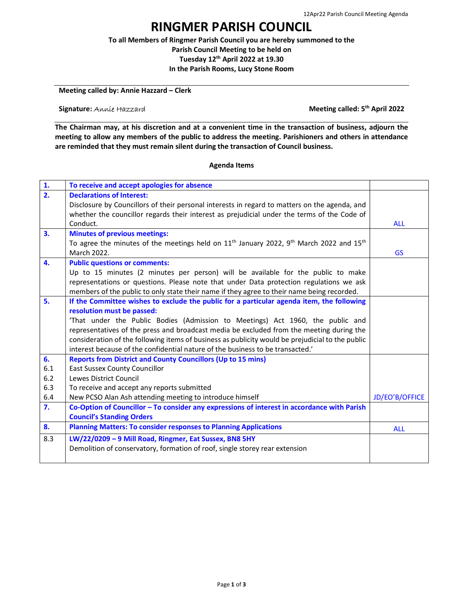## RINGMER PARISH COUNCIL

To all Members of Ringmer Parish Council you are hereby summoned to the Parish Council Meeting to be held on Tuesday 12th April 2022 at 19.30

In the Parish Rooms, Lucy Stone Room

Meeting called by: Annie Hazzard – Clerk

Signature: Annie Hazzard **Meeting called: 5<sup>th</sup> April 2022** 

The Chairman may, at his discretion and at a convenient time in the transaction of business, adjourn the meeting to allow any members of the public to address the meeting. Parishioners and others in attendance are reminded that they must remain silent during the transaction of Council business.

## Agenda Items

| 1.               | To receive and accept apologies for absence                                                                       |                |
|------------------|-------------------------------------------------------------------------------------------------------------------|----------------|
| $\overline{2}$ . | <b>Declarations of Interest:</b>                                                                                  |                |
|                  | Disclosure by Councillors of their personal interests in regard to matters on the agenda, and                     |                |
|                  | whether the councillor regards their interest as prejudicial under the terms of the Code of                       |                |
|                  | Conduct.                                                                                                          | <b>ALL</b>     |
| 3.               | <b>Minutes of previous meetings:</b>                                                                              |                |
|                  | To agree the minutes of the meetings held on $11th$ January 2022, 9 <sup>th</sup> March 2022 and 15 <sup>th</sup> |                |
|                  | March 2022.                                                                                                       | <b>GS</b>      |
| 4.               | <b>Public questions or comments:</b>                                                                              |                |
|                  | Up to 15 minutes (2 minutes per person) will be available for the public to make                                  |                |
|                  | representations or questions. Please note that under Data protection regulations we ask                           |                |
|                  | members of the public to only state their name if they agree to their name being recorded.                        |                |
| 5.               | If the Committee wishes to exclude the public for a particular agenda item, the following                         |                |
|                  | resolution must be passed:                                                                                        |                |
|                  | 'That under the Public Bodies (Admission to Meetings) Act 1960, the public and                                    |                |
|                  | representatives of the press and broadcast media be excluded from the meeting during the                          |                |
|                  | consideration of the following items of business as publicity would be prejudicial to the public                  |                |
|                  | interest because of the confidential nature of the business to be transacted.'                                    |                |
| 6.               | <b>Reports from District and County Councillors (Up to 15 mins)</b>                                               |                |
| 6.1              | <b>East Sussex County Councillor</b>                                                                              |                |
| 6.2              | Lewes District Council                                                                                            |                |
| 6.3              | To receive and accept any reports submitted                                                                       |                |
| 6.4              | New PCSO Alan Ash attending meeting to introduce himself                                                          | JD/EO'B/OFFICE |
| 7.               | Co-Option of Councillor - To consider any expressions of interest in accordance with Parish                       |                |
|                  | <b>Council's Standing Orders</b>                                                                                  |                |
| 8.               | <b>Planning Matters: To consider responses to Planning Applications</b>                                           | <b>ALL</b>     |
| 8.3              | LW/22/0209 - 9 Mill Road, Ringmer, Eat Sussex, BN8 5HY                                                            |                |
|                  | Demolition of conservatory, formation of roof, single storey rear extension                                       |                |
|                  |                                                                                                                   |                |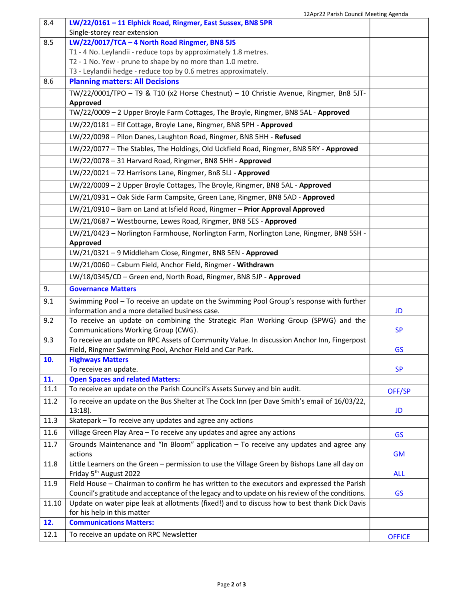| 8.4   | IZAPIZZ Faristi Couricii ivieeting Ageriua<br>LW/22/0161 - 11 Elphick Road, Ringmer, East Sussex, BN8 5PR                                               |               |
|-------|---------------------------------------------------------------------------------------------------------------------------------------------------------|---------------|
| 8.5   | Single-storey rear extension                                                                                                                            |               |
|       | LW/22/0017/TCA - 4 North Road Ringmer, BN8 5JS                                                                                                          |               |
|       | T1 - 4 No. Leylandii - reduce tops by approximately 1.8 metres.<br>T2 - 1 No. Yew - prune to shape by no more than 1.0 metre.                           |               |
|       | T3 - Leylandii hedge - reduce top by 0.6 metres approximately.                                                                                          |               |
| 8.6   | <b>Planning matters: All Decisions</b>                                                                                                                  |               |
|       |                                                                                                                                                         |               |
|       | TW/22/0001/TPO - T9 & T10 (x2 Horse Chestnut) - 10 Christie Avenue, Ringmer, Bn8 5JT-<br>Approved                                                       |               |
|       | TW/22/0009 - 2 Upper Broyle Farm Cottages, The Broyle, Ringmer, BN8 5AL - Approved                                                                      |               |
|       | LW/22/0181 - Elf Cottage, Broyle Lane, Ringmer, BN8 5PH - Approved                                                                                      |               |
|       | LW/22/0098 - Pilon Danes, Laughton Road, Ringmer, BN8 5HH - Refused                                                                                     |               |
|       | LW/22/0077 - The Stables, The Holdings, Old Uckfield Road, Ringmer, BN8 5RY - Approved                                                                  |               |
|       | LW/22/0078 - 31 Harvard Road, Ringmer, BN8 5HH - Approved                                                                                               |               |
|       | LW/22/0021-72 Harrisons Lane, Ringmer, Bn8 5LJ - Approved                                                                                               |               |
|       | LW/22/0009 - 2 Upper Broyle Cottages, The Broyle, Ringmer, BN8 5AL - Approved                                                                           |               |
|       | LW/21/0931 - Oak Side Farm Campsite, Green Lane, Ringmer, BN8 5AD - Approved                                                                            |               |
|       | LW/21/0910 - Barn on Land at Isfield Road, Ringmer - Prior Approval Approved                                                                            |               |
|       | LW/21/0687 - Westbourne, Lewes Road, Ringmer, BN8 5ES - Approved                                                                                        |               |
|       | LW/21/0423 - Norlington Farmhouse, Norlington Farm, Norlington Lane, Ringmer, BN8 5SH -                                                                 |               |
|       | Approved                                                                                                                                                |               |
|       | LW/21/0321 - 9 Middleham Close, Ringmer, BN8 5EN - Approved                                                                                             |               |
|       | LW/21/0060 - Caburn Field, Anchor Field, Ringmer - Withdrawn                                                                                            |               |
|       | LW/18/0345/CD - Green end, North Road, Ringmer, BN8 5JP - Approved                                                                                      |               |
| 9.    | <b>Governance Matters</b>                                                                                                                               |               |
| 9.1   | Swimming Pool - To receive an update on the Swimming Pool Group's response with further                                                                 |               |
|       | information and a more detailed business case.                                                                                                          | JD            |
| 9.2   | To receive an update on combining the Strategic Plan Working Group (SPWG) and the                                                                       |               |
| 9.3   | Communications Working Group (CWG).                                                                                                                     | <b>SP</b>     |
|       | To receive an update on RPC Assets of Community Value. In discussion Anchor Inn, Fingerpost<br>Field, Ringmer Swimming Pool, Anchor Field and Car Park. | <b>GS</b>     |
| 10.   | <b>Highways Matters</b>                                                                                                                                 |               |
|       | To receive an update.                                                                                                                                   | <b>SP</b>     |
| 11.   | <b>Open Spaces and related Matters:</b>                                                                                                                 |               |
| 11.1  | To receive an update on the Parish Council's Assets Survey and bin audit.                                                                               | OFF/SP        |
| 11.2  | To receive an update on the Bus Shelter at The Cock Inn (per Dave Smith's email of 16/03/22,<br>$13:18$ ).                                              | JD            |
| 11.3  | Skatepark - To receive any updates and agree any actions                                                                                                |               |
| 11.6  | Village Green Play Area - To receive any updates and agree any actions                                                                                  | <b>GS</b>     |
| 11.7  | Grounds Maintenance and "In Bloom" application - To receive any updates and agree any                                                                   |               |
|       | actions                                                                                                                                                 | <b>GM</b>     |
| 11.8  | Little Learners on the Green - permission to use the Village Green by Bishops Lane all day on<br>Friday 5 <sup>th</sup> August 2022                     | <b>ALL</b>    |
| 11.9  | Field House - Chairman to confirm he has written to the executors and expressed the Parish                                                              |               |
|       | Council's gratitude and acceptance of the legacy and to update on his review of the conditions.                                                         | <b>GS</b>     |
| 11.10 | Update on water pipe leak at allotments (fixed!) and to discuss how to best thank Dick Davis                                                            |               |
|       | for his help in this matter                                                                                                                             |               |
| 12.   | <b>Communications Matters:</b>                                                                                                                          |               |
| 12.1  | To receive an update on RPC Newsletter                                                                                                                  | <b>OFFICE</b> |